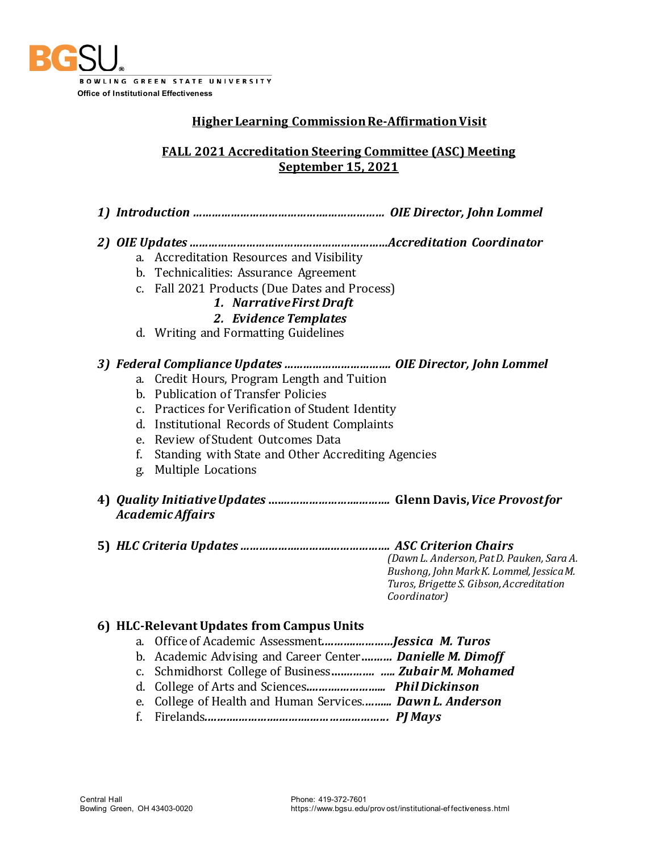

## **Higher Learning Commission Re-Affirmation Visit**

## **FALL 2021 Accreditation Steering Committee (ASC) Meeting September 15, 2021**

- *1) Introduction …………………………………….……………… OIE Director, John Lommel*
- *2) OIE Updates ………………………………………………………Accreditation Coordinator*
	- a. Accreditation Resources and Visibility
	- b. Technicalities: Assurance Agreement
	- c. Fall 2021 Products (Due Dates and Process)
		- *1. Narrative First Draft*
		- *2. Evidence Templates*
	- d. Writing and Formatting Guidelines

### *3) Federal Compliance Updates ……………………………. OIE Director, John Lommel*

- a. Credit Hours, Program Length and Tuition
- b. Publication of Transfer Policies
- c. Practices for Verification of Student Identity
- d. Institutional Records of Student Complaints
- e. Review of Student Outcomes Data
- f. Standing with State and Other Accrediting Agencies
- g. Multiple Locations
- **4)** *Quality InitiativeUpdates* **….***…………………….……….* **Glenn Davis,** *Vice Provost for Academic Affairs*
- **5)** *HLC Criteria Updates ……………….……….………………. ASC Criterion Chairs*

*(Dawn L. Anderson, Pat D. Pauken, Sara A. Bushong, John Mark K. Lommel, Jessica M. Turos, Brigette S. Gibson, Accreditation Coordinator)*

#### **6) HLC-Relevant Updates from Campus Units**

- a. Office of Academic Assessment*.……….…………Jessica M. Turos*
- b. Academic Advising and Career Center**…***.…… Danielle M. Dimoff*
- c. Schmidhorst College of Business**….***………. ….. Zubair M. Mohamed*
- d. College of Arts and Sciences**.***……….…………... Phil Dickinson*
- e. College of Health and Human Services.*……... Dawn L. Anderson*
- f. Firelands*.……….………….……….………….………... PJ Mays*